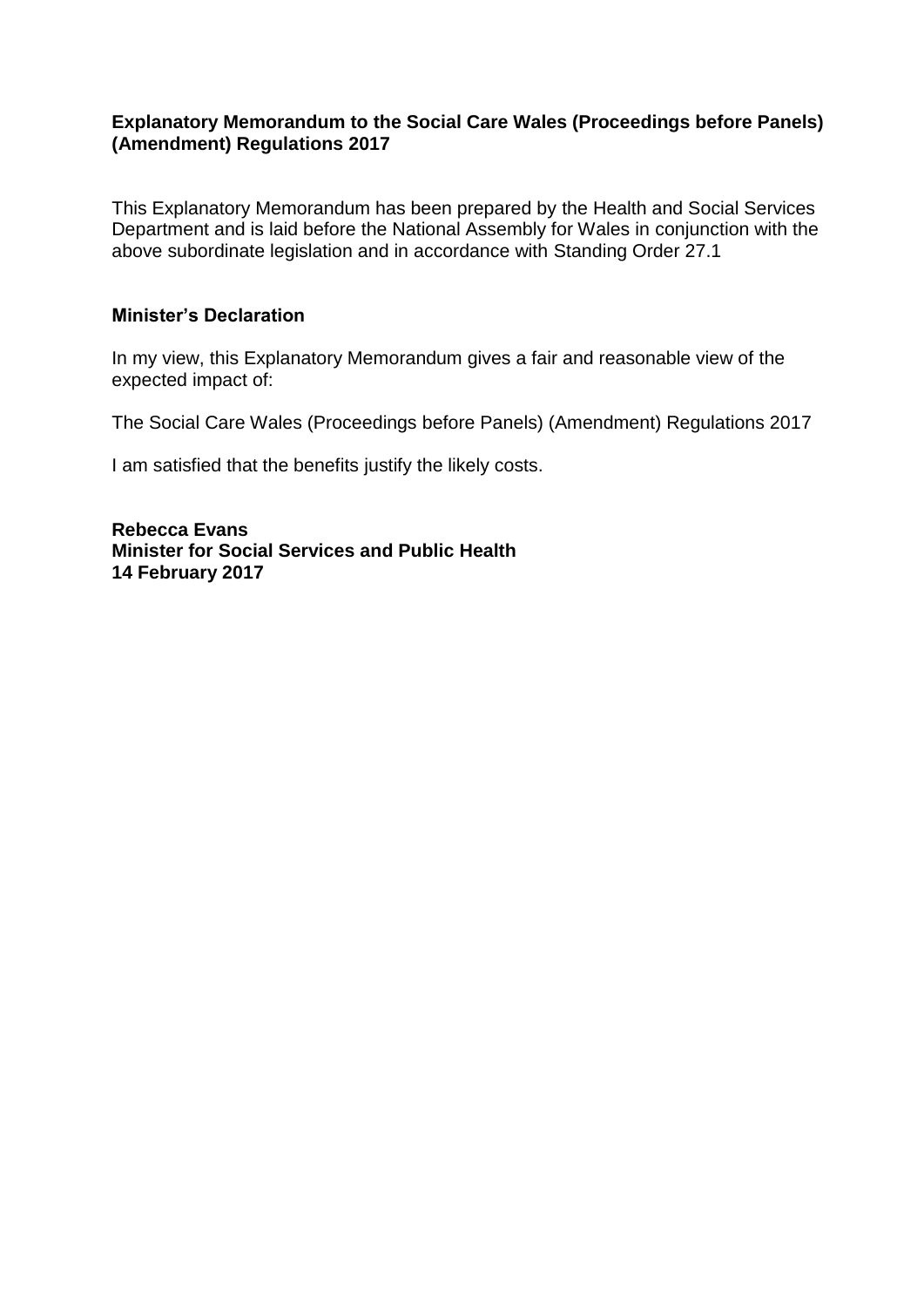# **Explanatory Memorandum to the Social Care Wales (Proceedings before Panels) (Amendment) Regulations 2017**

This Explanatory Memorandum has been prepared by the Health and Social Services Department and is laid before the National Assembly for Wales in conjunction with the above subordinate legislation and in accordance with Standing Order 27.1

## **Minister's Declaration**

In my view, this Explanatory Memorandum gives a fair and reasonable view of the expected impact of:

The Social Care Wales (Proceedings before Panels) (Amendment) Regulations 2017

I am satisfied that the benefits justify the likely costs.

**Rebecca Evans Minister for Social Services and Public Health 14 February 2017**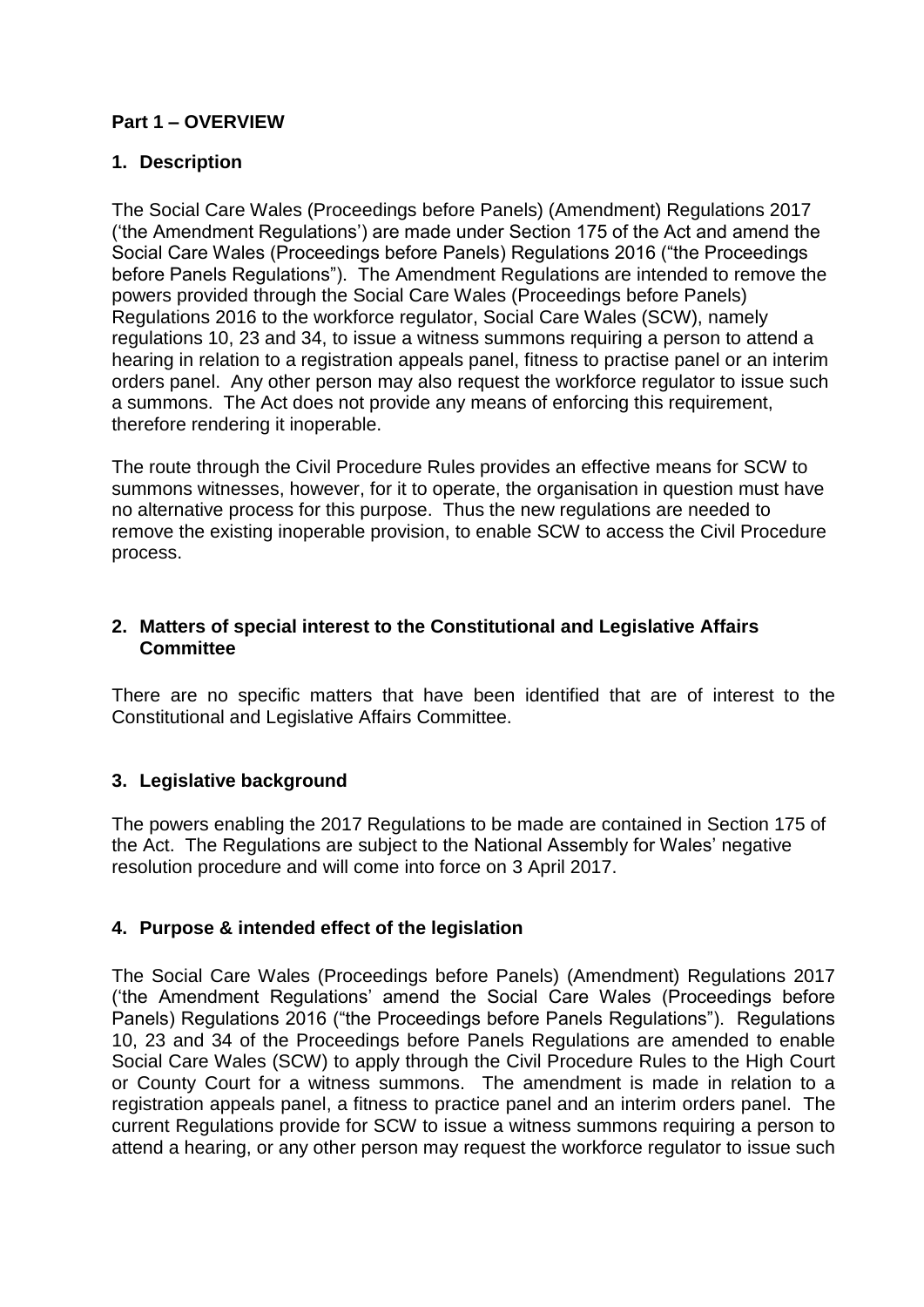# **Part 1 – OVERVIEW**

# **1. Description**

The Social Care Wales (Proceedings before Panels) (Amendment) Regulations 2017 ('the Amendment Regulations') are made under Section 175 of the Act and amend the Social Care Wales (Proceedings before Panels) Regulations 2016 ("the Proceedings before Panels Regulations"). The Amendment Regulations are intended to remove the powers provided through the Social Care Wales (Proceedings before Panels) Regulations 2016 to the workforce regulator, Social Care Wales (SCW), namely regulations 10, 23 and 34, to issue a witness summons requiring a person to attend a hearing in relation to a registration appeals panel, fitness to practise panel or an interim orders panel. Any other person may also request the workforce regulator to issue such a summons. The Act does not provide any means of enforcing this requirement, therefore rendering it inoperable.

The route through the Civil Procedure Rules provides an effective means for SCW to summons witnesses, however, for it to operate, the organisation in question must have no alternative process for this purpose. Thus the new regulations are needed to remove the existing inoperable provision, to enable SCW to access the Civil Procedure process.

# **2. Matters of special interest to the Constitutional and Legislative Affairs Committee**

There are no specific matters that have been identified that are of interest to the Constitutional and Legislative Affairs Committee.

# **3. Legislative background**

The powers enabling the 2017 Regulations to be made are contained in Section 175 of the Act. The Regulations are subject to the National Assembly for Wales' negative resolution procedure and will come into force on 3 April 2017.

# **4. Purpose & intended effect of the legislation**

The Social Care Wales (Proceedings before Panels) (Amendment) Regulations 2017 ('the Amendment Regulations' amend the Social Care Wales (Proceedings before Panels) Regulations 2016 ("the Proceedings before Panels Regulations"). Regulations 10, 23 and 34 of the Proceedings before Panels Regulations are amended to enable Social Care Wales (SCW) to apply through the Civil Procedure Rules to the High Court or County Court for a witness summons. The amendment is made in relation to a registration appeals panel, a fitness to practice panel and an interim orders panel. The current Regulations provide for SCW to issue a witness summons requiring a person to attend a hearing, or any other person may request the workforce regulator to issue such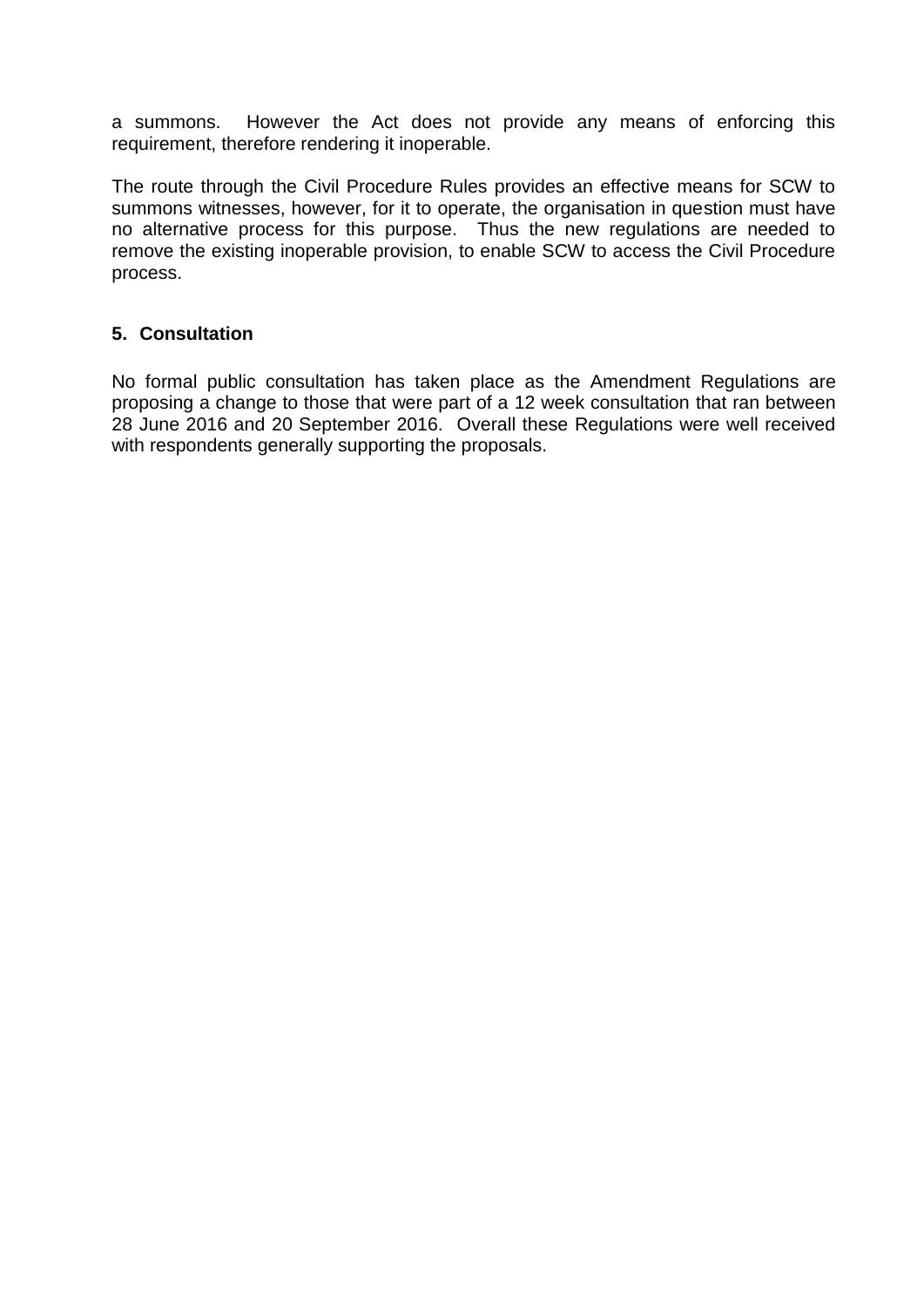a summons. However the Act does not provide any means of enforcing this requirement, therefore rendering it inoperable.

The route through the Civil Procedure Rules provides an effective means for SCW to summons witnesses, however, for it to operate, the organisation in question must have no alternative process for this purpose. Thus the new regulations are needed to remove the existing inoperable provision, to enable SCW to access the Civil Procedure process.

# **5. Consultation**

No formal public consultation has taken place as the Amendment Regulations are proposing a change to those that were part of a 12 week consultation that ran between 28 June 2016 and 20 September 2016. Overall these Regulations were well received with respondents generally supporting the proposals.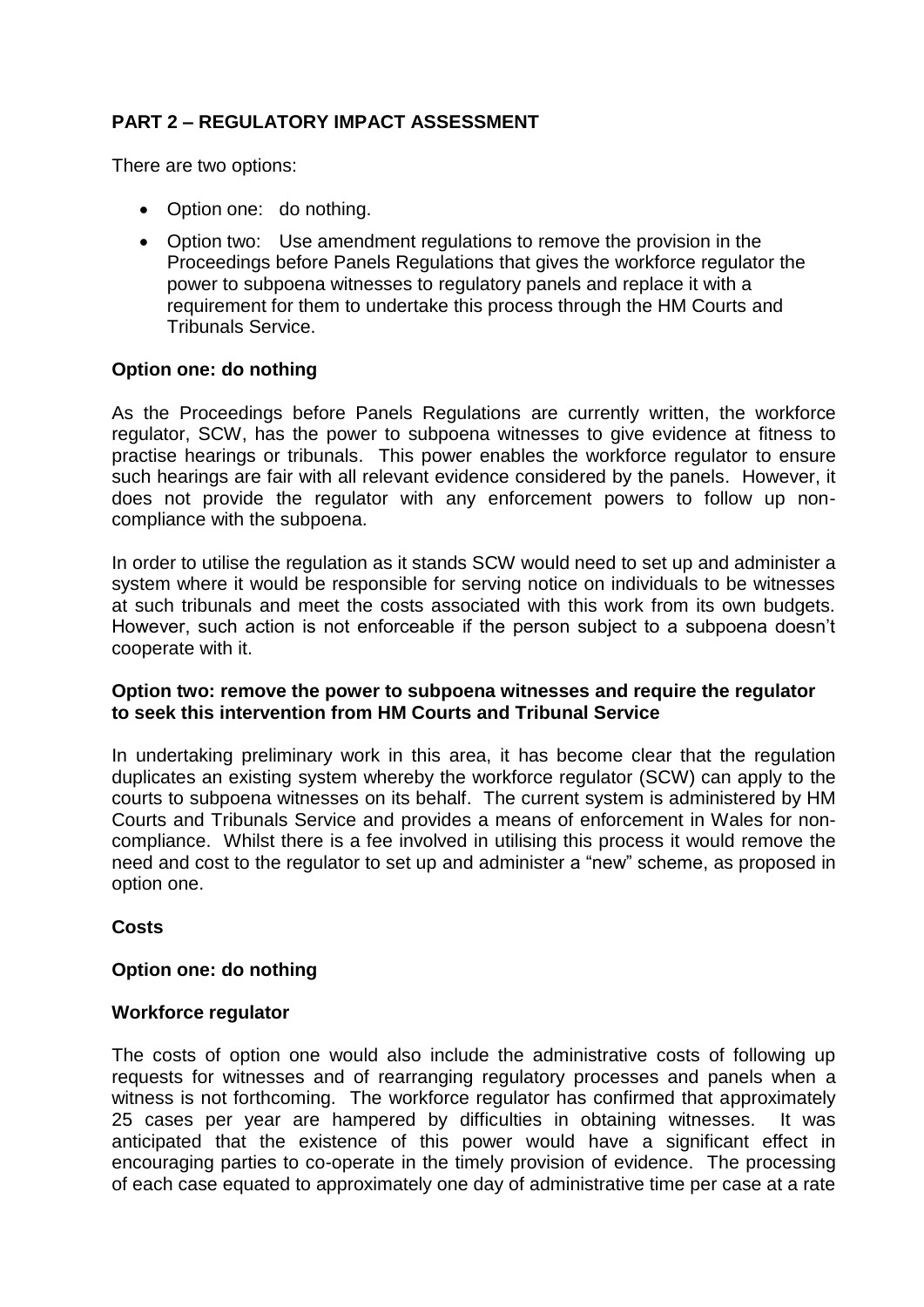# **PART 2 – REGULATORY IMPACT ASSESSMENT**

There are two options:

- Option one: do nothing.
- Option two: Use amendment regulations to remove the provision in the Proceedings before Panels Regulations that gives the workforce regulator the power to subpoena witnesses to regulatory panels and replace it with a requirement for them to undertake this process through the HM Courts and Tribunals Service.

### **Option one: do nothing**

As the Proceedings before Panels Regulations are currently written, the workforce regulator, SCW, has the power to subpoena witnesses to give evidence at fitness to practise hearings or tribunals. This power enables the workforce regulator to ensure such hearings are fair with all relevant evidence considered by the panels. However, it does not provide the regulator with any enforcement powers to follow up noncompliance with the subpoena.

In order to utilise the regulation as it stands SCW would need to set up and administer a system where it would be responsible for serving notice on individuals to be witnesses at such tribunals and meet the costs associated with this work from its own budgets. However, such action is not enforceable if the person subject to a subpoena doesn't cooperate with it.

# **Option two: remove the power to subpoena witnesses and require the regulator to seek this intervention from HM Courts and Tribunal Service**

In undertaking preliminary work in this area, it has become clear that the regulation duplicates an existing system whereby the workforce regulator (SCW) can apply to the courts to subpoena witnesses on its behalf. The current system is administered by HM Courts and Tribunals Service and provides a means of enforcement in Wales for noncompliance. Whilst there is a fee involved in utilising this process it would remove the need and cost to the regulator to set up and administer a "new" scheme, as proposed in option one.

# **Costs**

#### **Option one: do nothing**

#### **Workforce regulator**

The costs of option one would also include the administrative costs of following up requests for witnesses and of rearranging regulatory processes and panels when a witness is not forthcoming. The workforce regulator has confirmed that approximately 25 cases per year are hampered by difficulties in obtaining witnesses. It was anticipated that the existence of this power would have a significant effect in encouraging parties to co-operate in the timely provision of evidence. The processing of each case equated to approximately one day of administrative time per case at a rate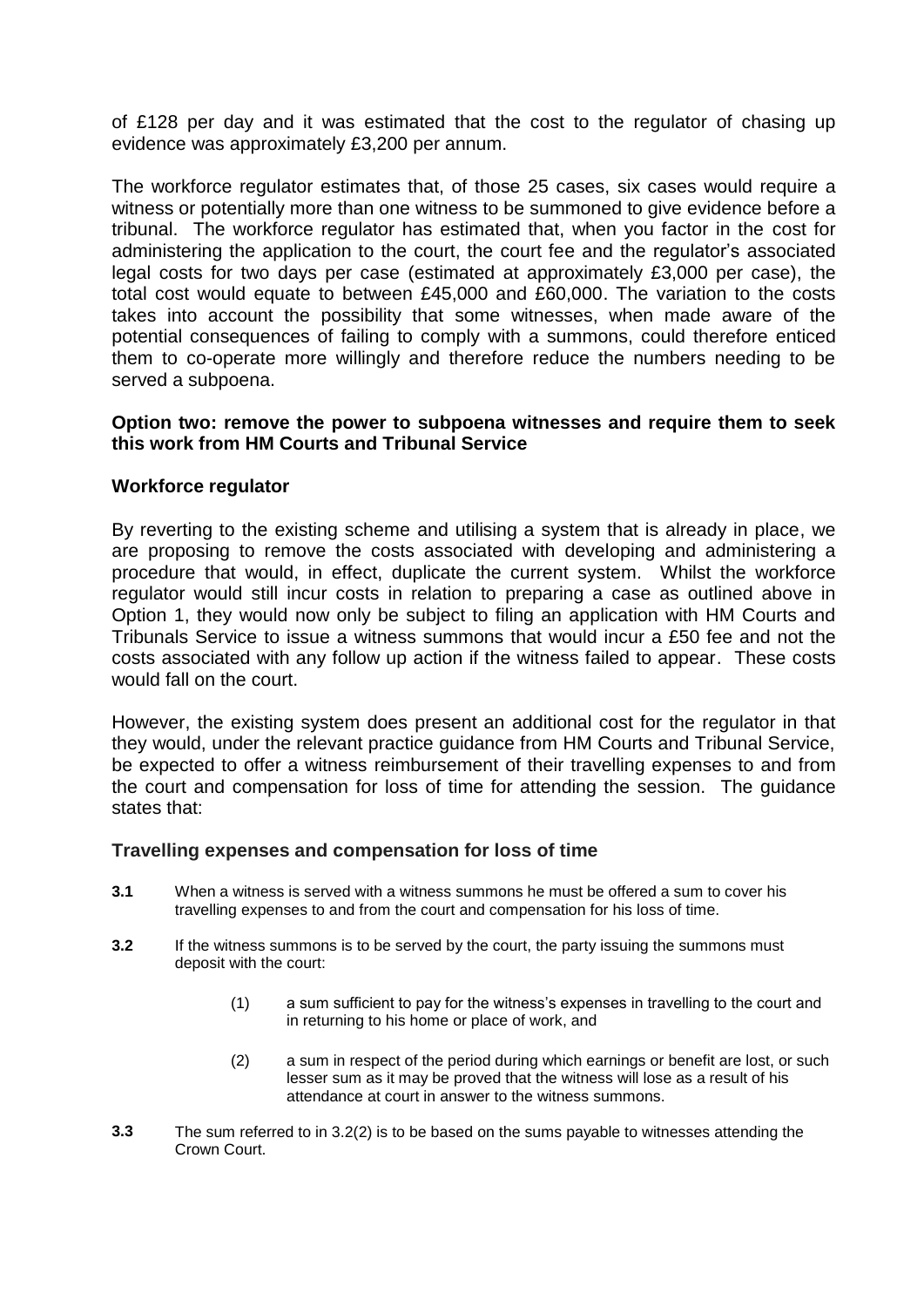of £128 per day and it was estimated that the cost to the regulator of chasing up evidence was approximately £3,200 per annum.

The workforce regulator estimates that, of those 25 cases, six cases would require a witness or potentially more than one witness to be summoned to give evidence before a tribunal. The workforce regulator has estimated that, when you factor in the cost for administering the application to the court, the court fee and the regulator's associated legal costs for two days per case (estimated at approximately £3,000 per case), the total cost would equate to between £45,000 and £60,000. The variation to the costs takes into account the possibility that some witnesses, when made aware of the potential consequences of failing to comply with a summons, could therefore enticed them to co-operate more willingly and therefore reduce the numbers needing to be served a subpoena.

## **Option two: remove the power to subpoena witnesses and require them to seek this work from HM Courts and Tribunal Service**

### **Workforce regulator**

By reverting to the existing scheme and utilising a system that is already in place, we are proposing to remove the costs associated with developing and administering a procedure that would, in effect, duplicate the current system. Whilst the workforce regulator would still incur costs in relation to preparing a case as outlined above in Option 1, they would now only be subject to filing an application with HM Courts and Tribunals Service to issue a witness summons that would incur a £50 fee and not the costs associated with any follow up action if the witness failed to appear. These costs would fall on the court.

However, the existing system does present an additional cost for the regulator in that they would, under the relevant practice guidance from HM Courts and Tribunal Service, be expected to offer a witness reimbursement of their travelling expenses to and from the court and compensation for loss of time for attending the session. The guidance states that:

#### **Travelling expenses and compensation for loss of time**

- **3.1** When a witness is served with a witness summons he must be offered a sum to cover his travelling expenses to and from the court and compensation for his loss of time.
- **3.2** If the witness summons is to be served by the court, the party issuing the summons must deposit with the court:
	- (1) a sum sufficient to pay for the witness's expenses in travelling to the court and in returning to his home or place of work, and
	- (2) a sum in respect of the period during which earnings or benefit are lost, or such lesser sum as it may be proved that the witness will lose as a result of his attendance at court in answer to the witness summons.
- **3.3** The sum referred to in 3.2(2) is to be based on the sums payable to witnesses attending the Crown Court.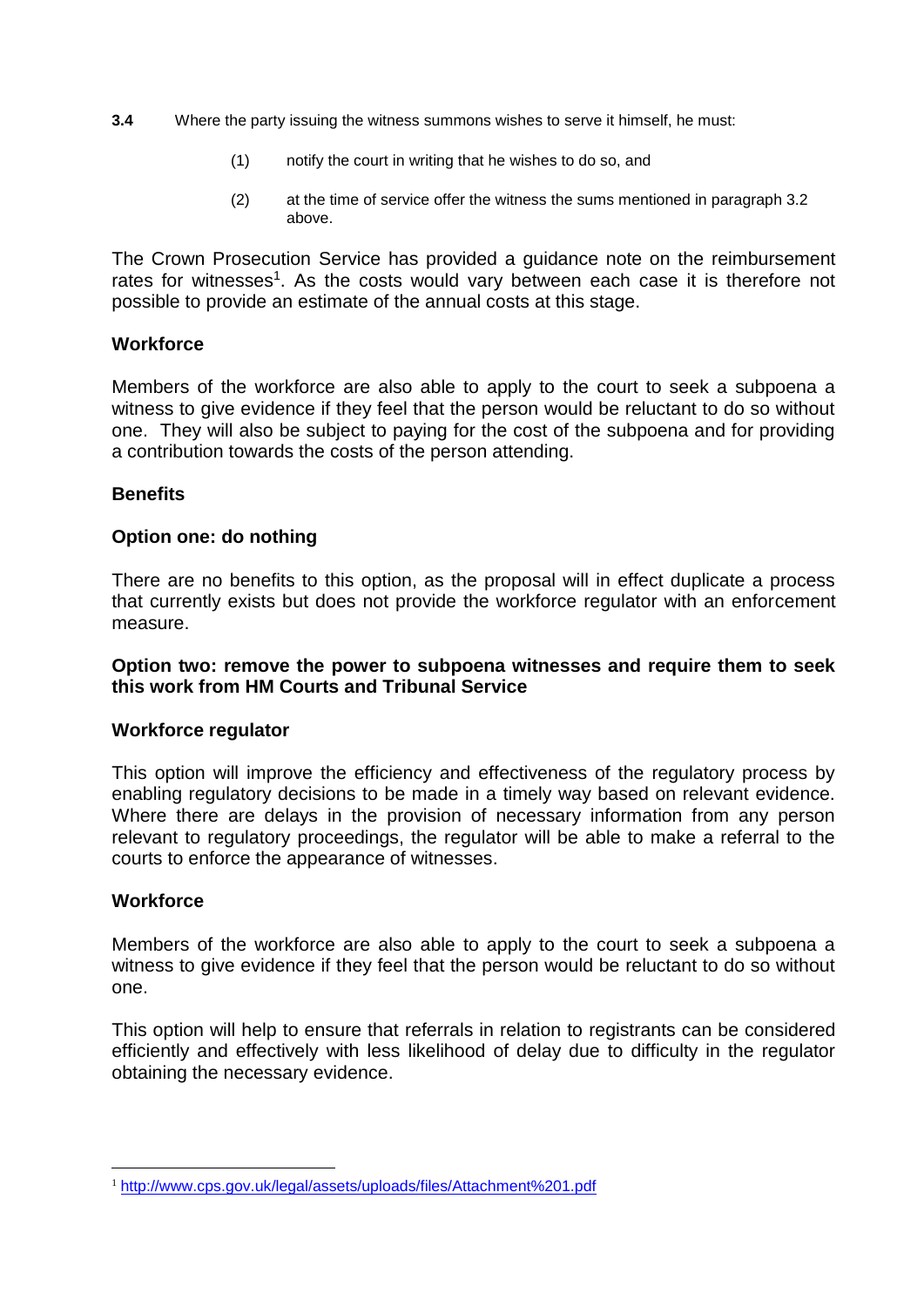- **3.4** Where the party issuing the witness summons wishes to serve it himself, he must:
	- (1) notify the court in writing that he wishes to do so, and
	- (2) at the time of service offer the witness the sums mentioned in paragraph 3.2 above.

The Crown Prosecution Service has provided a guidance note on the reimbursement rates for witnesses<sup>1</sup>. As the costs would vary between each case it is therefore not possible to provide an estimate of the annual costs at this stage.

### **Workforce**

Members of the workforce are also able to apply to the court to seek a subpoena a witness to give evidence if they feel that the person would be reluctant to do so without one. They will also be subject to paying for the cost of the subpoena and for providing a contribution towards the costs of the person attending.

### **Benefits**

#### **Option one: do nothing**

There are no benefits to this option, as the proposal will in effect duplicate a process that currently exists but does not provide the workforce regulator with an enforcement measure.

### **Option two: remove the power to subpoena witnesses and require them to seek this work from HM Courts and Tribunal Service**

#### **Workforce regulator**

This option will improve the efficiency and effectiveness of the regulatory process by enabling regulatory decisions to be made in a timely way based on relevant evidence. Where there are delays in the provision of necessary information from any person relevant to regulatory proceedings, the regulator will be able to make a referral to the courts to enforce the appearance of witnesses.

#### **Workforce**

1

Members of the workforce are also able to apply to the court to seek a subpoena a witness to give evidence if they feel that the person would be reluctant to do so without one.

This option will help to ensure that referrals in relation to registrants can be considered efficiently and effectively with less likelihood of delay due to difficulty in the regulator obtaining the necessary evidence.

<sup>1</sup> <http://www.cps.gov.uk/legal/assets/uploads/files/Attachment%201.pdf>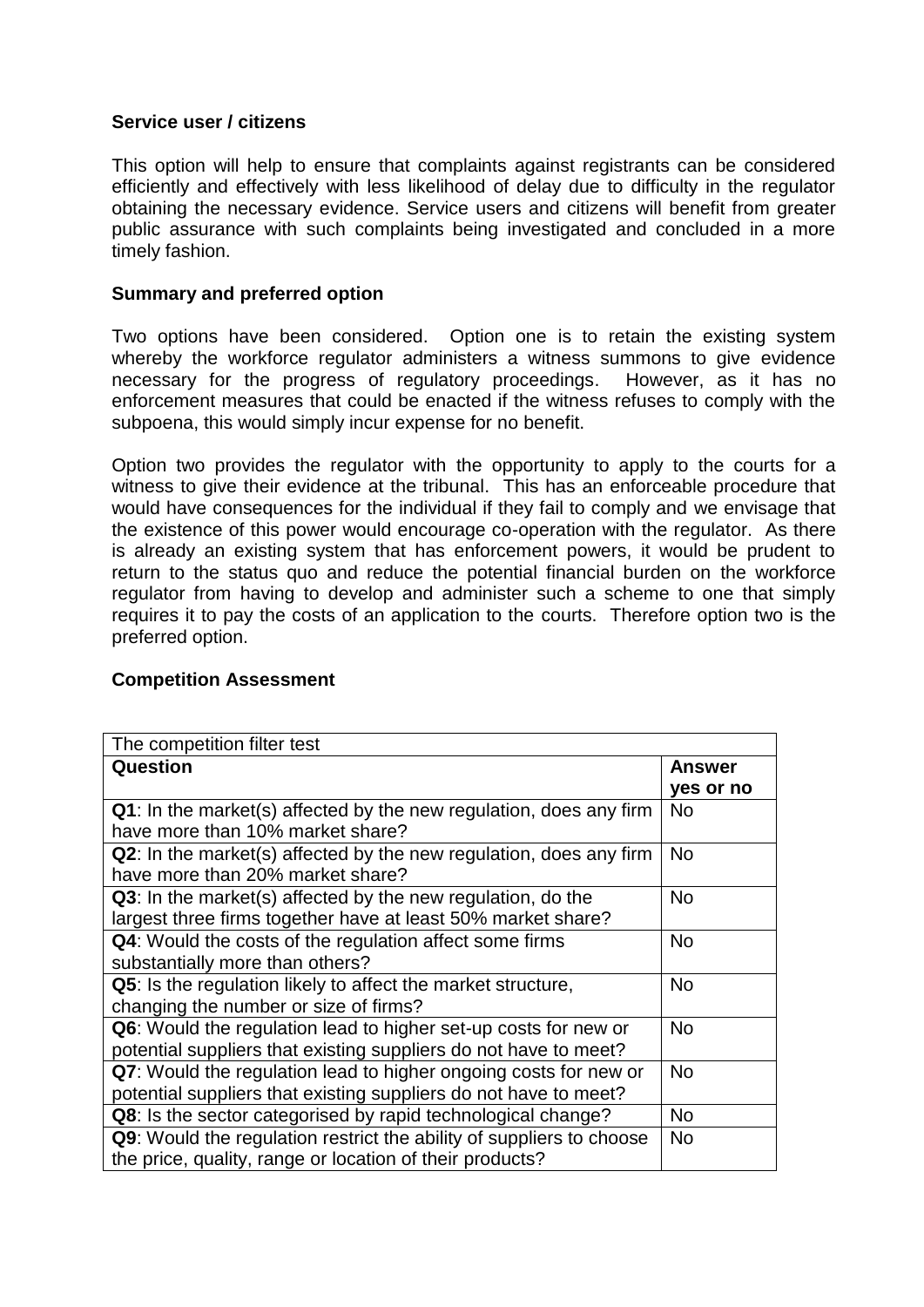# **Service user / citizens**

This option will help to ensure that complaints against registrants can be considered efficiently and effectively with less likelihood of delay due to difficulty in the regulator obtaining the necessary evidence. Service users and citizens will benefit from greater public assurance with such complaints being investigated and concluded in a more timely fashion.

# **Summary and preferred option**

Two options have been considered. Option one is to retain the existing system whereby the workforce regulator administers a witness summons to give evidence necessary for the progress of regulatory proceedings. However, as it has no enforcement measures that could be enacted if the witness refuses to comply with the subpoena, this would simply incur expense for no benefit.

Option two provides the regulator with the opportunity to apply to the courts for a witness to give their evidence at the tribunal. This has an enforceable procedure that would have consequences for the individual if they fail to comply and we envisage that the existence of this power would encourage co-operation with the regulator. As there is already an existing system that has enforcement powers, it would be prudent to return to the status quo and reduce the potential financial burden on the workforce regulator from having to develop and administer such a scheme to one that simply requires it to pay the costs of an application to the courts. Therefore option two is the preferred option.

# **Competition Assessment**

| The competition filter test                                          |           |
|----------------------------------------------------------------------|-----------|
| Question                                                             | Answer    |
|                                                                      | yes or no |
| Q1: In the market(s) affected by the new regulation, does any firm   | <b>No</b> |
| have more than 10% market share?                                     |           |
| Q2: In the market(s) affected by the new regulation, does any firm   | <b>No</b> |
| have more than 20% market share?                                     |           |
| Q3: In the market(s) affected by the new regulation, do the          | <b>No</b> |
| largest three firms together have at least 50% market share?         |           |
| Q4: Would the costs of the regulation affect some firms              | <b>No</b> |
| substantially more than others?                                      |           |
| <b>Q5:</b> Is the regulation likely to affect the market structure,  | <b>No</b> |
| changing the number or size of firms?                                |           |
| Q6: Would the regulation lead to higher set-up costs for new or      | <b>No</b> |
| potential suppliers that existing suppliers do not have to meet?     |           |
| Q7: Would the regulation lead to higher ongoing costs for new or     | <b>No</b> |
| potential suppliers that existing suppliers do not have to meet?     |           |
| Q8: Is the sector categorised by rapid technological change?         | <b>No</b> |
| Q9: Would the regulation restrict the ability of suppliers to choose | <b>No</b> |
| the price, quality, range or location of their products?             |           |